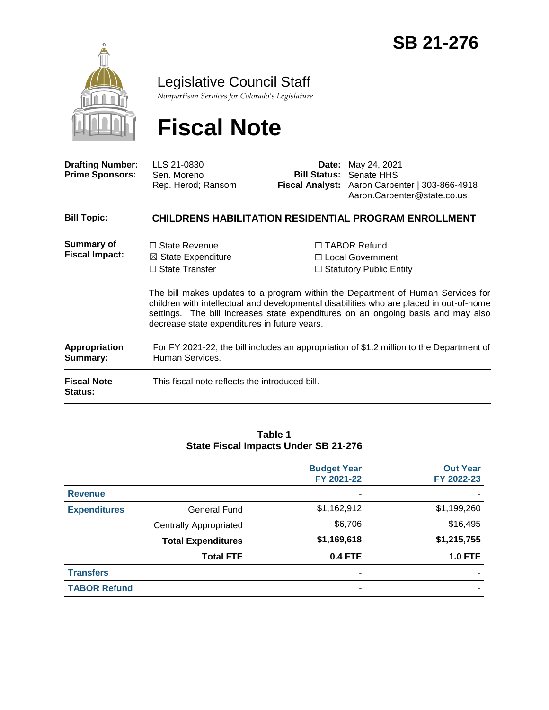

Legislative Council Staff

*Nonpartisan Services for Colorado's Legislature*

# **Fiscal Note**

| <b>Drafting Number:</b><br><b>Prime Sponsors:</b> | LLS 21-0830<br>Sen. Moreno<br>Rep. Herod; Ransom                                                                                                                                                                                                                                                               | Date:<br><b>Bill Status:</b> | May 24, 2021<br>Senate HHS<br>Fiscal Analyst: Aaron Carpenter   303-866-4918<br>Aaron.Carpenter@state.co.us |  |
|---------------------------------------------------|----------------------------------------------------------------------------------------------------------------------------------------------------------------------------------------------------------------------------------------------------------------------------------------------------------------|------------------------------|-------------------------------------------------------------------------------------------------------------|--|
| <b>Bill Topic:</b>                                |                                                                                                                                                                                                                                                                                                                |                              | <b>CHILDRENS HABILITATION RESIDENTIAL PROGRAM ENROLLMENT</b>                                                |  |
| <b>Summary of</b><br><b>Fiscal Impact:</b>        | $\Box$ State Revenue<br>$\boxtimes$ State Expenditure<br>$\Box$ State Transfer                                                                                                                                                                                                                                 |                              | $\Box$ TABOR Refund<br>□ Local Government<br>$\Box$ Statutory Public Entity                                 |  |
|                                                   | The bill makes updates to a program within the Department of Human Services for<br>children with intellectual and developmental disabilities who are placed in out-of-home<br>settings. The bill increases state expenditures on an ongoing basis and may also<br>decrease state expenditures in future years. |                              |                                                                                                             |  |
| Appropriation<br>Summary:                         | For FY 2021-22, the bill includes an appropriation of \$1.2 million to the Department of<br>Human Services.                                                                                                                                                                                                    |                              |                                                                                                             |  |
| <b>Fiscal Note</b><br>Status:                     | This fiscal note reflects the introduced bill.                                                                                                                                                                                                                                                                 |                              |                                                                                                             |  |

#### **Table 1 State Fiscal Impacts Under SB 21-276**

|                     |                               | <b>Budget Year</b><br>FY 2021-22 | <b>Out Year</b><br>FY 2022-23 |
|---------------------|-------------------------------|----------------------------------|-------------------------------|
| <b>Revenue</b>      |                               | ٠                                |                               |
| <b>Expenditures</b> | <b>General Fund</b>           | \$1,162,912                      | \$1,199,260                   |
|                     | <b>Centrally Appropriated</b> | \$6,706                          | \$16,495                      |
|                     | <b>Total Expenditures</b>     | \$1,169,618                      | \$1,215,755                   |
|                     | <b>Total FTE</b>              | <b>0.4 FTE</b>                   | <b>1.0 FTE</b>                |
| <b>Transfers</b>    |                               | ٠                                |                               |
| <b>TABOR Refund</b> |                               | $\blacksquare$                   |                               |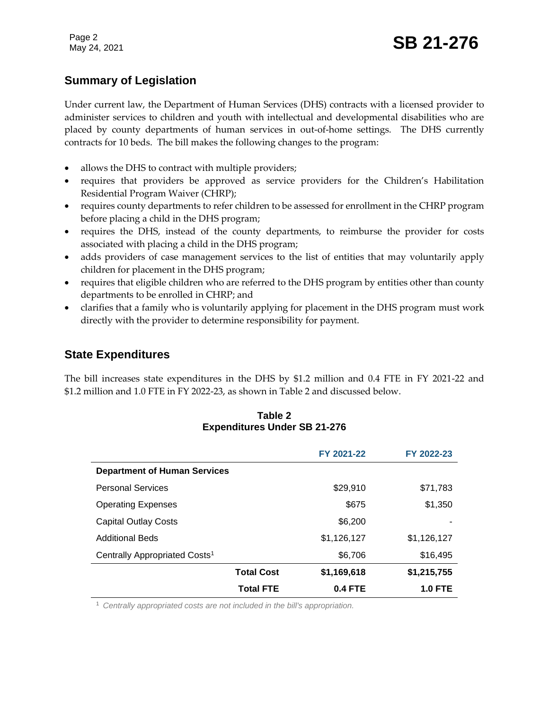Page 2

## **Summary of Legislation**

Under current law, the Department of Human Services (DHS) contracts with a licensed provider to administer services to children and youth with intellectual and developmental disabilities who are placed by county departments of human services in out-of-home settings. The DHS currently contracts for 10 beds. The bill makes the following changes to the program:

- allows the DHS to contract with multiple providers;
- requires that providers be approved as service providers for the Children's Habilitation Residential Program Waiver (CHRP);
- requires county departments to refer children to be assessed for enrollment in the CHRP program before placing a child in the DHS program;
- requires the DHS, instead of the county departments, to reimburse the provider for costs associated with placing a child in the DHS program;
- adds providers of case management services to the list of entities that may voluntarily apply children for placement in the DHS program;
- requires that eligible children who are referred to the DHS program by entities other than county departments to be enrolled in CHRP; and
- clarifies that a family who is voluntarily applying for placement in the DHS program must work directly with the provider to determine responsibility for payment.

## **State Expenditures**

The bill increases state expenditures in the DHS by \$1.2 million and 0.4 FTE in FY 2021-22 and \$1.2 million and 1.0 FTE in FY 2022-23, as shown in Table 2 and discussed below.

#### **Table 2 Expenditures Under SB 21-276**

|                                           |                   | FY 2021-22     | FY 2022-23     |
|-------------------------------------------|-------------------|----------------|----------------|
| <b>Department of Human Services</b>       |                   |                |                |
| <b>Personal Services</b>                  |                   | \$29,910       | \$71,783       |
| <b>Operating Expenses</b>                 |                   | \$675          | \$1,350        |
| <b>Capital Outlay Costs</b>               |                   | \$6,200        |                |
| <b>Additional Beds</b>                    |                   | \$1,126,127    | \$1,126,127    |
| Centrally Appropriated Costs <sup>1</sup> |                   | \$6,706        | \$16,495       |
|                                           | <b>Total Cost</b> | \$1,169,618    | \$1,215,755    |
|                                           | <b>Total FTE</b>  | <b>0.4 FTE</b> | <b>1.0 FTE</b> |

<sup>1</sup> *Centrally appropriated costs are not included in the bill's appropriation.*